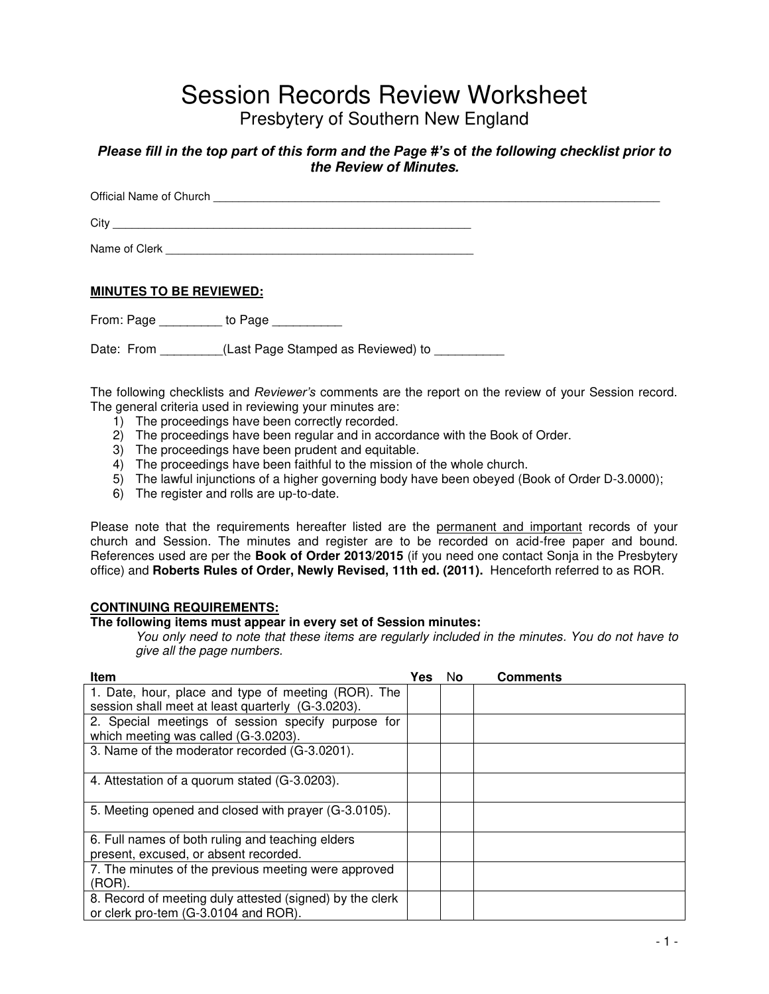# Session Records Review Worksheet

Presbytery of Southern New England

### *Please fill in the top part of this form and the Page #'s* **of** *the following checklist prior to the Review of Minutes.*

Official Name of Church **Exercise 20** and  $\overline{a}$  and  $\overline{b}$  and  $\overline{c}$  and  $\overline{d}$  and  $\overline{b}$  and  $\overline{c}$  and  $\overline{d}$  and  $\overline{c}$  and  $\overline{c}$  and  $\overline{c}$  and  $\overline{c}$  and  $\overline{c}$  and  $\overline{c}$  and  $\overline{c}$  an City \_\_\_\_\_\_\_\_\_\_\_\_\_\_\_\_\_\_\_\_\_\_\_\_\_\_\_\_\_\_\_\_\_\_\_\_\_\_\_\_\_\_\_\_\_\_\_\_\_\_\_\_\_\_\_\_\_ Name of Clerk **Example 20** 

### **MINUTES TO BE REVIEWED:**

From: Page \_\_\_\_\_\_\_\_\_ to Page \_\_\_\_\_\_\_\_\_\_

Date: From **Example 2** (Last Page Stamped as Reviewed) to

The following checklists and *Reviewer's* comments are the report on the review of your Session record. The general criteria used in reviewing your minutes are:

- 1) The proceedings have been correctly recorded.
- 2) The proceedings have been regular and in accordance with the Book of Order.
- 3) The proceedings have been prudent and equitable.
- 4) The proceedings have been faithful to the mission of the whole church.
- 5) The lawful injunctions of a higher governing body have been obeyed (Book of Order D-3.0000);
- 6) The register and rolls are up-to-date.

Please note that the requirements hereafter listed are the permanent and important records of your church and Session. The minutes and register are to be recorded on acid-free paper and bound. References used are per the **Book of Order 2013/2015** (if you need one contact Sonja in the Presbytery office) and **Roberts Rules of Order, Newly Revised, 11th ed. (2011).** Henceforth referred to as ROR.

### **CONTINUING REQUIREMENTS:**

### **The following items must appear in every set of Session minutes:**

You only need to note that these items are regularly included in the minutes. You do not have to give all the page numbers.

| Item                                                                                       | Yes | No. | Comments |
|--------------------------------------------------------------------------------------------|-----|-----|----------|
| 1. Date, hour, place and type of meeting (ROR). The                                        |     |     |          |
| session shall meet at least quarterly (G-3.0203).                                          |     |     |          |
| 2. Special meetings of session specify purpose for<br>which meeting was called (G-3.0203). |     |     |          |
| 3. Name of the moderator recorded (G-3.0201).                                              |     |     |          |
| 4. Attestation of a quorum stated (G-3.0203).                                              |     |     |          |
| 5. Meeting opened and closed with prayer (G-3.0105).                                       |     |     |          |
| 6. Full names of both ruling and teaching elders                                           |     |     |          |
| present, excused, or absent recorded.                                                      |     |     |          |
| 7. The minutes of the previous meeting were approved                                       |     |     |          |
| $(ROR)$ .                                                                                  |     |     |          |
| 8. Record of meeting duly attested (signed) by the clerk                                   |     |     |          |
| or clerk pro-tem (G-3.0104 and ROR).                                                       |     |     |          |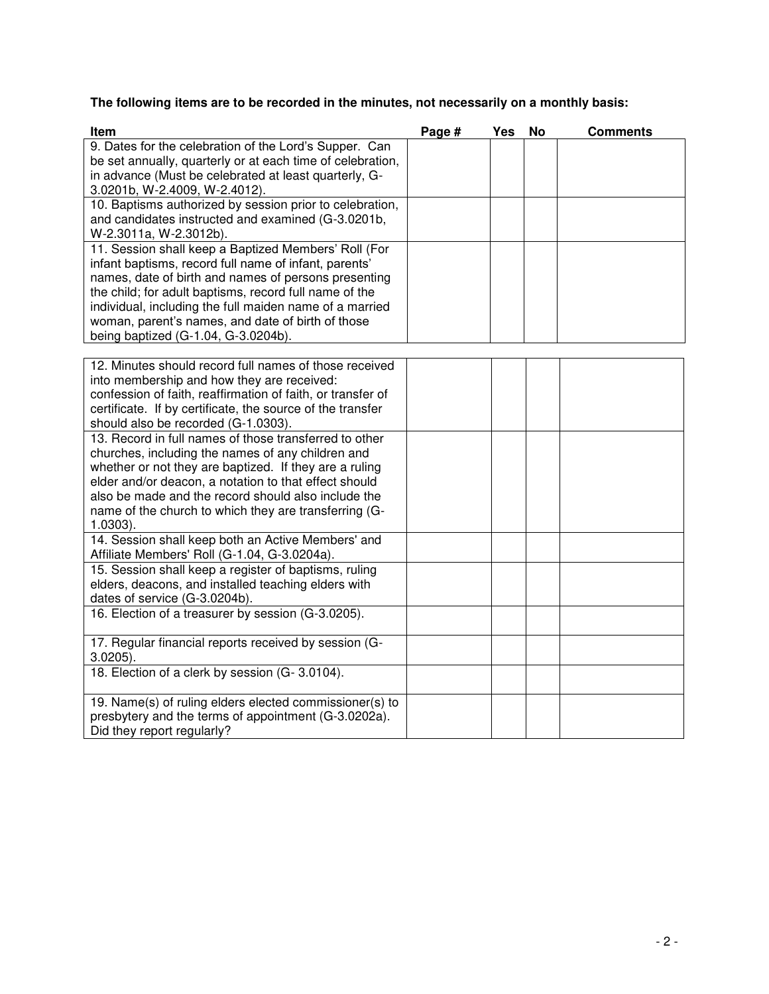# **The following items are to be recorded in the minutes, not necessarily on a monthly basis:**

| 9. Dates for the celebration of the Lord's Supper. Can<br>be set annually, quarterly or at each time of celebration, | Page # | Yes | <b>No</b> | <b>Comments</b> |
|----------------------------------------------------------------------------------------------------------------------|--------|-----|-----------|-----------------|
|                                                                                                                      |        |     |           |                 |
|                                                                                                                      |        |     |           |                 |
| in advance (Must be celebrated at least quarterly, G-                                                                |        |     |           |                 |
| 3.0201b, W-2.4009, W-2.4012).                                                                                        |        |     |           |                 |
| 10. Baptisms authorized by session prior to celebration,                                                             |        |     |           |                 |
| and candidates instructed and examined (G-3.0201b,                                                                   |        |     |           |                 |
| W-2.3011a, W-2.3012b).                                                                                               |        |     |           |                 |
| 11. Session shall keep a Baptized Members' Roll (For                                                                 |        |     |           |                 |
| infant baptisms, record full name of infant, parents'                                                                |        |     |           |                 |
| names, date of birth and names of persons presenting                                                                 |        |     |           |                 |
| the child; for adult baptisms, record full name of the                                                               |        |     |           |                 |
| individual, including the full maiden name of a married                                                              |        |     |           |                 |
| woman, parent's names, and date of birth of those                                                                    |        |     |           |                 |
| being baptized (G-1.04, G-3.0204b).                                                                                  |        |     |           |                 |
|                                                                                                                      |        |     |           |                 |
| 12. Minutes should record full names of those received                                                               |        |     |           |                 |
| into membership and how they are received:                                                                           |        |     |           |                 |
| confession of faith, reaffirmation of faith, or transfer of                                                          |        |     |           |                 |
| certificate. If by certificate, the source of the transfer                                                           |        |     |           |                 |
| should also be recorded (G-1.0303).                                                                                  |        |     |           |                 |
| 13. Record in full names of those transferred to other                                                               |        |     |           |                 |
| churches, including the names of any children and                                                                    |        |     |           |                 |
| whether or not they are baptized. If they are a ruling                                                               |        |     |           |                 |
| elder and/or deacon, a notation to that effect should                                                                |        |     |           |                 |
| also be made and the record should also include the                                                                  |        |     |           |                 |
| name of the church to which they are transferring (G-                                                                |        |     |           |                 |
| $1.0303$ ).                                                                                                          |        |     |           |                 |
| 14. Session shall keep both an Active Members' and                                                                   |        |     |           |                 |
| Affiliate Members' Roll (G-1.04, G-3.0204a).                                                                         |        |     |           |                 |
| 15. Session shall keep a register of baptisms, ruling                                                                |        |     |           |                 |
| elders, deacons, and installed teaching elders with                                                                  |        |     |           |                 |
| dates of service (G-3.0204b).                                                                                        |        |     |           |                 |
| 16. Election of a treasurer by session (G-3.0205).                                                                   |        |     |           |                 |
|                                                                                                                      |        |     |           |                 |
| 17. Regular financial reports received by session (G-                                                                |        |     |           |                 |
| $3.0205$ ).                                                                                                          |        |     |           |                 |
| 18. Election of a clerk by session (G-3.0104).                                                                       |        |     |           |                 |
| 19. Name(s) of ruling elders elected commissioner(s) to                                                              |        |     |           |                 |
| presbytery and the terms of appointment (G-3.0202a).                                                                 |        |     |           |                 |
| Did they report regularly?                                                                                           |        |     |           |                 |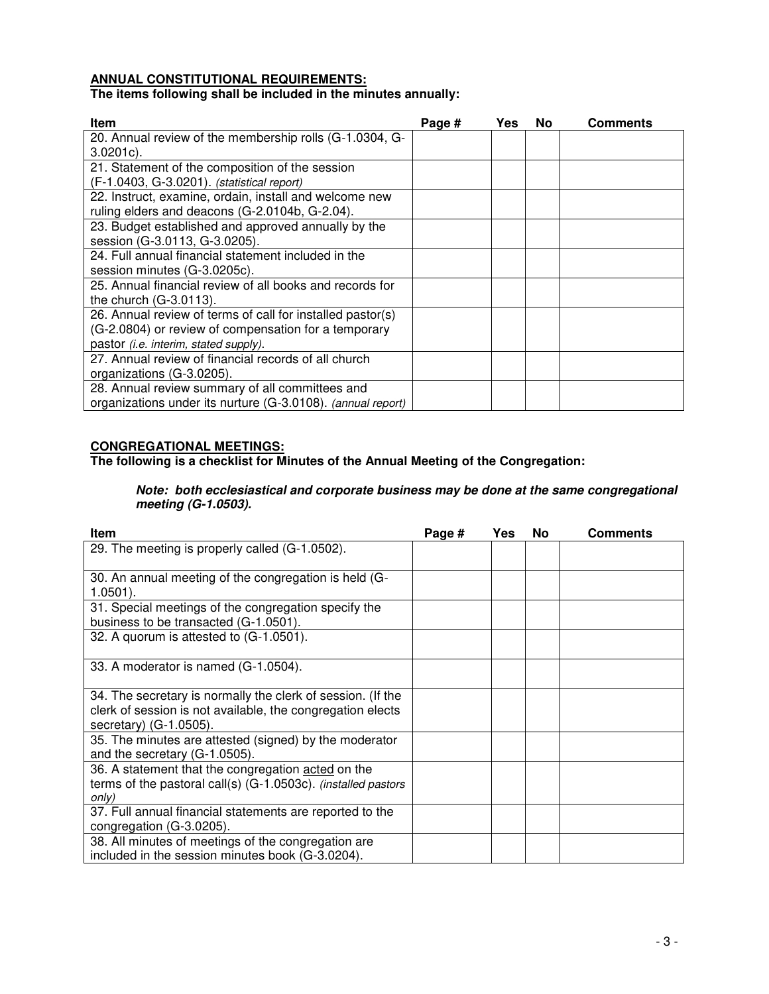# **ANNUAL CONSTITUTIONAL REQUIREMENTS:**

# **The items following shall be included in the minutes annually:**

| <b>Item</b>                                                 | Page # | Yes | No | <b>Comments</b> |
|-------------------------------------------------------------|--------|-----|----|-----------------|
| 20. Annual review of the membership rolls (G-1.0304, G-     |        |     |    |                 |
| $3.0201c$ ).                                                |        |     |    |                 |
| 21. Statement of the composition of the session             |        |     |    |                 |
| (F-1.0403, G-3.0201). (statistical report)                  |        |     |    |                 |
| 22. Instruct, examine, ordain, install and welcome new      |        |     |    |                 |
| ruling elders and deacons (G-2.0104b, G-2.04).              |        |     |    |                 |
| 23. Budget established and approved annually by the         |        |     |    |                 |
| session (G-3.0113, G-3.0205).                               |        |     |    |                 |
| 24. Full annual financial statement included in the         |        |     |    |                 |
| session minutes (G-3.0205c).                                |        |     |    |                 |
| 25. Annual financial review of all books and records for    |        |     |    |                 |
| the church $(G-3.0113)$ .                                   |        |     |    |                 |
| 26. Annual review of terms of call for installed pastor(s)  |        |     |    |                 |
| (G-2.0804) or review of compensation for a temporary        |        |     |    |                 |
| pastor (i.e. interim, stated supply).                       |        |     |    |                 |
| 27. Annual review of financial records of all church        |        |     |    |                 |
| organizations (G-3.0205).                                   |        |     |    |                 |
| 28. Annual review summary of all committees and             |        |     |    |                 |
| organizations under its nurture (G-3.0108). (annual report) |        |     |    |                 |

# **CONGREGATIONAL MEETINGS:**

**The following is a checklist for Minutes of the Annual Meeting of the Congregation:** 

### *Note: both ecclesiastical and corporate business may be done at the same congregational meeting (G-1.0503).*

| Item                                                          | Page # | Yes | <b>No</b> | <b>Comments</b> |
|---------------------------------------------------------------|--------|-----|-----------|-----------------|
| 29. The meeting is properly called (G-1.0502).                |        |     |           |                 |
|                                                               |        |     |           |                 |
| 30. An annual meeting of the congregation is held (G-         |        |     |           |                 |
| $1.0501$ ).                                                   |        |     |           |                 |
| 31. Special meetings of the congregation specify the          |        |     |           |                 |
| business to be transacted (G-1.0501).                         |        |     |           |                 |
| 32. A quorum is attested to (G-1.0501).                       |        |     |           |                 |
|                                                               |        |     |           |                 |
| 33. A moderator is named (G-1.0504).                          |        |     |           |                 |
|                                                               |        |     |           |                 |
| 34. The secretary is normally the clerk of session. (If the   |        |     |           |                 |
| clerk of session is not available, the congregation elects    |        |     |           |                 |
| secretary) (G-1.0505).                                        |        |     |           |                 |
| 35. The minutes are attested (signed) by the moderator        |        |     |           |                 |
| and the secretary (G-1.0505).                                 |        |     |           |                 |
| 36. A statement that the congregation acted on the            |        |     |           |                 |
| terms of the pastoral call(s) (G-1.0503c). (installed pastors |        |     |           |                 |
| only)                                                         |        |     |           |                 |
| 37. Full annual financial statements are reported to the      |        |     |           |                 |
| congregation (G-3.0205).                                      |        |     |           |                 |
| 38. All minutes of meetings of the congregation are           |        |     |           |                 |
| included in the session minutes book (G-3.0204).              |        |     |           |                 |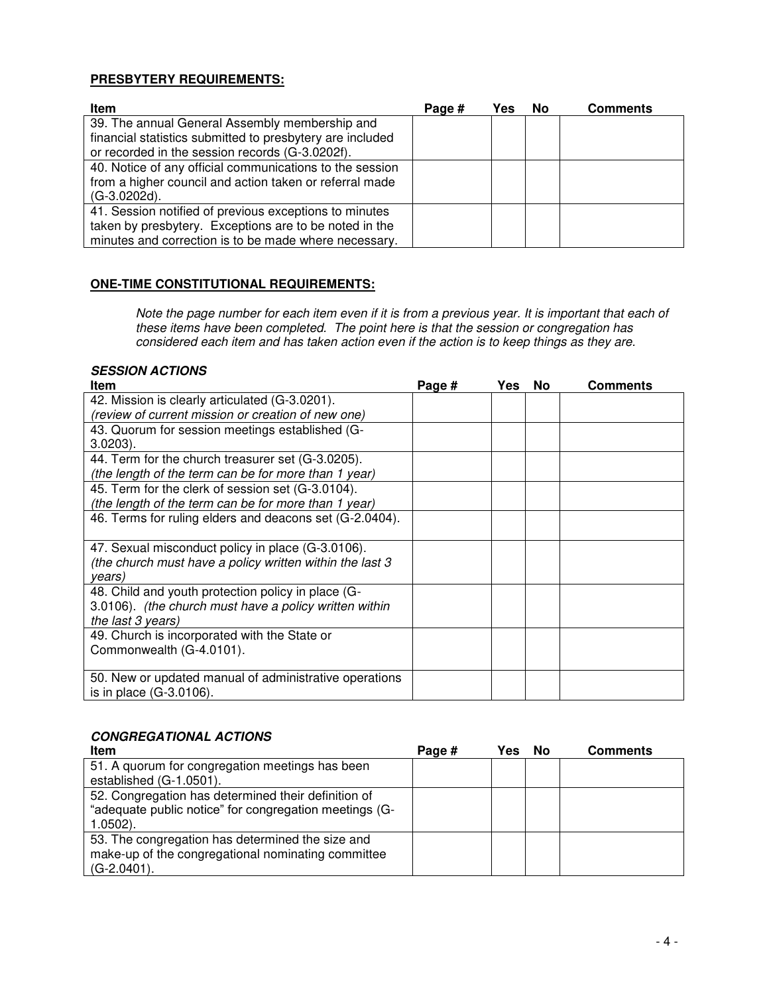### **PRESBYTERY REQUIREMENTS:**

| <b>Item</b>                                               | Page # | Yes | No | <b>Comments</b> |
|-----------------------------------------------------------|--------|-----|----|-----------------|
| 39. The annual General Assembly membership and            |        |     |    |                 |
| financial statistics submitted to presbytery are included |        |     |    |                 |
| or recorded in the session records (G-3.0202f).           |        |     |    |                 |
| 40. Notice of any official communications to the session  |        |     |    |                 |
| from a higher council and action taken or referral made   |        |     |    |                 |
| (G-3.0202d).                                              |        |     |    |                 |
| 41. Session notified of previous exceptions to minutes    |        |     |    |                 |
| taken by presbytery. Exceptions are to be noted in the    |        |     |    |                 |
| minutes and correction is to be made where necessary.     |        |     |    |                 |

### **ONE-TIME CONSTITUTIONAL REQUIREMENTS:**

Note the page number for each item even if it is from a previous year. It is important that each of these items have been completed. The point here is that the session or congregation has considered each item and has taken action even if the action is to keep things as they are.

### *SESSION ACTIONS*

| Item                                                     | Page # | Yes | No | Comments |
|----------------------------------------------------------|--------|-----|----|----------|
| 42. Mission is clearly articulated (G-3.0201).           |        |     |    |          |
| (review of current mission or creation of new one)       |        |     |    |          |
| 43. Quorum for session meetings established (G-          |        |     |    |          |
| $3.0203$ ).                                              |        |     |    |          |
| 44. Term for the church treasurer set (G-3.0205).        |        |     |    |          |
| (the length of the term can be for more than 1 year)     |        |     |    |          |
| 45. Term for the clerk of session set (G-3.0104).        |        |     |    |          |
| (the length of the term can be for more than 1 year)     |        |     |    |          |
| 46. Terms for ruling elders and deacons set (G-2.0404).  |        |     |    |          |
|                                                          |        |     |    |          |
| 47. Sexual misconduct policy in place (G-3.0106).        |        |     |    |          |
| (the church must have a policy written within the last 3 |        |     |    |          |
| years)                                                   |        |     |    |          |
| 48. Child and youth protection policy in place (G-       |        |     |    |          |
| 3.0106). (the church must have a policy written within   |        |     |    |          |
| the last 3 years)                                        |        |     |    |          |
| 49. Church is incorporated with the State or             |        |     |    |          |
| Commonwealth (G-4.0101).                                 |        |     |    |          |
|                                                          |        |     |    |          |
| 50. New or updated manual of administrative operations   |        |     |    |          |
| is in place (G-3.0106).                                  |        |     |    |          |

# *CONGREGATIONAL ACTIONS*

| <b>Item</b>                                            | Page # | Yes | No | <b>Comments</b> |
|--------------------------------------------------------|--------|-----|----|-----------------|
| 51. A quorum for congregation meetings has been        |        |     |    |                 |
| established (G-1.0501).                                |        |     |    |                 |
| 52. Congregation has determined their definition of    |        |     |    |                 |
| "adequate public notice" for congregation meetings (G- |        |     |    |                 |
| $1.0502$ ).                                            |        |     |    |                 |
| 53. The congregation has determined the size and       |        |     |    |                 |
| make-up of the congregational nominating committee     |        |     |    |                 |
| $(G-2.0401)$ .                                         |        |     |    |                 |